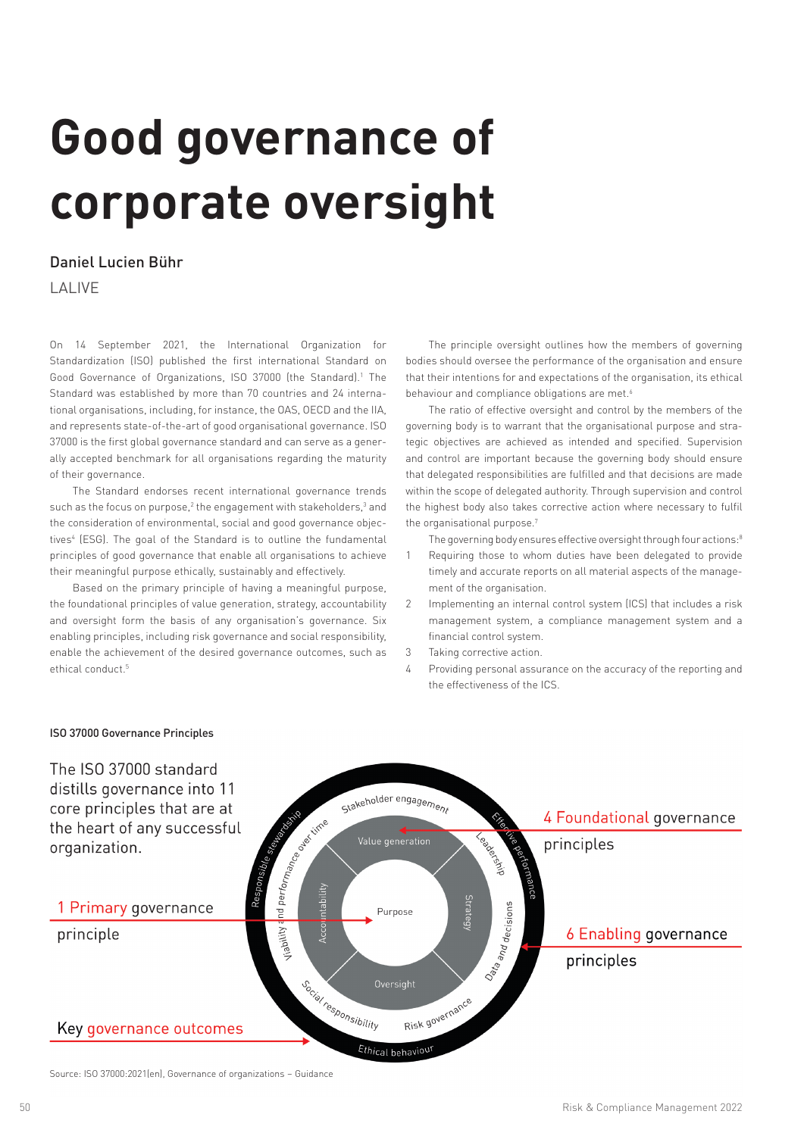# **Good governance of corporate oversight**

# Daniel Lucien Bühr

LALIVE

On 14 September 2021, the International Organization for Standardization (ISO) published the first international Standard on Good Governance of Organizations, ISO 37000 (the Standard).<sup>1</sup> The Standard was established by more than 70 countries and 24 international organisations, including, for instance, the OAS, OECD and the IIA, and represents state-of-the-art of good organisational governance. ISO 37000 is the first global governance standard and can serve as a generally accepted benchmark for all organisations regarding the maturity of their governance.

The Standard endorses recent international governance trends such as the focus on purpose, $2$  the engagement with stakeholders, $3$  and the consideration of environmental, social and good governance objectives<sup>4</sup> (ESG). The goal of the Standard is to outline the fundamental principles of good governance that enable all organisations to achieve their meaningful purpose ethically, sustainably and effectively.

Based on the primary principle of having a meaningful purpose, the foundational principles of value generation, strategy, accountability and oversight form the basis of any organisation's governance. Six enabling principles, including risk governance and social responsibility, enable the achievement of the desired governance outcomes, such as ethical conduct<sup>5</sup>

The principle oversight outlines how the members of governing bodies should oversee the performance of the organisation and ensure that their intentions for and expectations of the organisation, its ethical behaviour and compliance obligations are met.<sup>6</sup>

The ratio of effective oversight and control by the members of the governing body is to warrant that the organisational purpose and strategic objectives are achieved as intended and specified. Supervision and control are important because the governing body should ensure that delegated responsibilities are fulfilled and that decisions are made within the scope of delegated authority. Through supervision and control the highest body also takes corrective action where necessary to fulfil the organisational purpose.<sup>7</sup>

The governing body ensures effective oversight through four actions:8

- 1 Requiring those to whom duties have been delegated to provide timely and accurate reports on all material aspects of the management of the organisation.
- 2 Implementing an internal control system (ICS) that includes a risk management system, a compliance management system and a financial control system.
- 3 Taking corrective action.
- 4 Providing personal assurance on the accuracy of the reporting and the effectiveness of the ICS.

## ISO 37000 Governance Principles



Source: ISO 37000:2021(en), Governance of organizations – Guidance